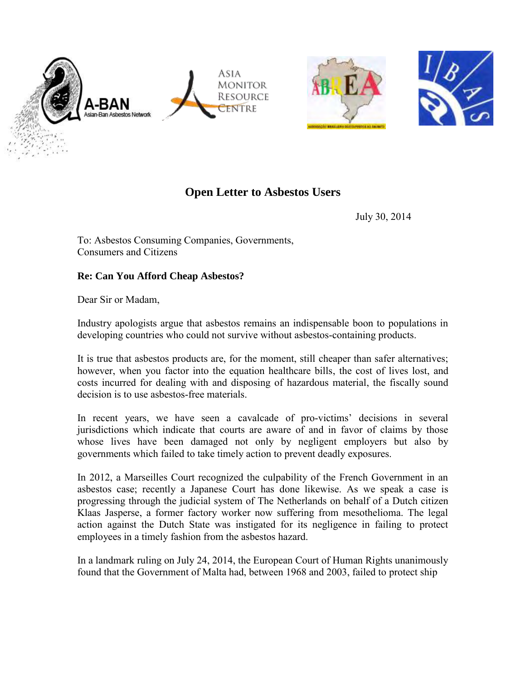





## **Open Letter to Asbestos Users**

July 30, 2014

To: Asbestos Consuming Companies, Governments, Consumers and Citizens

## **Re: Can You Afford Cheap Asbestos?**

Dear Sir or Madam,

Industry apologists argue that asbestos remains an indispensable boon to populations in developing countries who could not survive without asbestos-containing products.

It is true that asbestos products are, for the moment, still cheaper than safer alternatives; however, when you factor into the equation healthcare bills, the cost of lives lost, and costs incurred for dealing with and disposing of hazardous material, the fiscally sound decision is to use asbestos-free materials.

In recent years, we have seen a cavalcade of pro-victims' decisions in several jurisdictions which indicate that courts are aware of and in favor of claims by those whose lives have been damaged not only by negligent employers but also by governments which failed to take timely action to prevent deadly exposures.

In 2012, a Marseilles Court recognized the culpability of the French Government in an asbestos case; recently a Japanese Court has done likewise. As we speak a case is progressing through the judicial system of The Netherlands on behalf of a Dutch citizen Klaas Jasperse, a former factory worker now suffering from mesothelioma. The legal action against the Dutch State was instigated for its negligence in failing to protect employees in a timely fashion from the asbestos hazard.

In a landmark ruling on July 24, 2014, the European Court of Human Rights unanimously found that the Government of Malta had, between 1968 and 2003, failed to protect ship